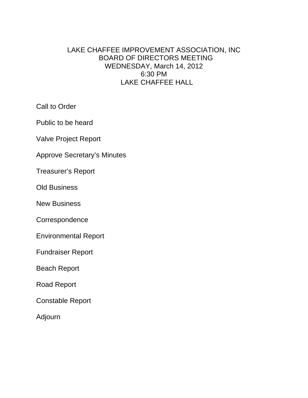# LAKE CHAFFEE IMPROVEMENT ASSOCIATION, INC BOARD OF DIRECTORS MEETING WEDNESDAY, March 14, 2012 6:30 PM LAKE CHAFFEE HALL

Call to Order

Public to be heard

Valve Project Report

Approve Secretary's Minutes

Treasurer's Report

Old Business

New Business

**Correspondence** 

Environmental Report

Fundraiser Report

Beach Report

Road Report

Constable Report

Adjourn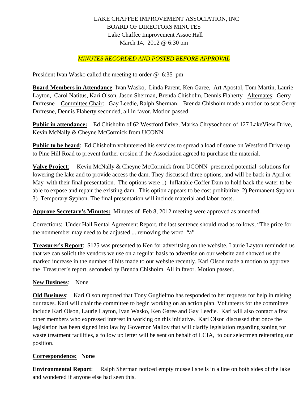### LAKE CHAFFEE IMPROVEMENT ASSOCIATION, INC BOARD OF DIRECTORS MINUTES Lake Chaffee Improvement Assoc Hall March 14, 2012 @ 6:30 pm

### *MINUTES RECORDED AND POSTED BEFORE APPROVAL*

President Ivan Wasko called the meeting to order @ 6:35 pm

**Board Members in Attendance**: Ivan Wasko, Linda Parent, Ken Garee, Art Apostol, Tom Martin, Laurie Layton, Carol Natitus, Kari Olson, Jason Sherman, Brenda Chisholm, Dennis Flaherty Alternates: Gerry Dufresne Committee Chair: Gay Leedie, Ralph Sherman. Brenda Chisholm made a motion to seat Gerry Dufresne, Dennis Flaherty seconded, all in favor. Motion passed.

**Public in attendance:** Ed Chisholm of 62 Westford Drive, Marisa Chrysochoou of 127 LakeView Drive, Kevin McNally & Cheyne McCormick from UCONN

**Public to be heard**: Ed Chisholm volunteered his services to spread a load of stone on Westford Drive up to Pine Hill Road to prevent further erosion if the Association agreed to purchase the material.

**Valve Project**: Kevin McNally & Cheyne McCormick from UCONN presented potential solutions for lowering the lake and to provide access the dam. They discussed three options, and will be back in April or May with their final presentation. The options were 1) Inflatable Coffer Dam to hold back the water to be able to expose and repair the existing dam. This option appears to be cost prohibitive 2) Permanent Syphon 3) Temporary Syphon. The final presentation will include material and labor costs.

**Approve Secretary's Minutes:** Minutes of Feb 8, 2012 meeting were approved as amended.

Corrections: Under Hall Rental Agreement Report, the last sentence should read as follows, "The price for the nonmember may need to be adjusted.... removing the word "a"

**Treasurer's Report**: \$125 was presented to Ken for adveritsing on the website. Laurie Layton reminded us that we can solicit the vendors we use on a regular basis to advertise on our website and showed us the marked increase in the number of hits made to our website recently. Kari Olson made a motion to approve the Treasurer's report, seconded by Brenda Chisholm. All in favor. Motion passed.

#### **New Business**: None

**Old Business**: Kari Olson reported that Tony Guglielmo has responded to her requests for help in raising our taxes. Kari will chair the committee to begin working on an action plan. Volunteers for the committee include Kari Olson, Laurie Layton, Ivan Wasko, Ken Garee and Gay Leedie. Kari will also contact a few other members who expressed interest in working on this initiative. Kari Olson discussed that once the legislation has been signed into law by Governor Malloy that will clarify legislation regarding zoning for waste treatment facilities, a follow up letter will be sent on behalf of LCIA, to our selectmen reiterating our position.

#### **Correspondence: None**

**Environmental Report:** Ralph Sherman noticed empty mussell shells in a line on both sides of the lake and wondered if anyone else had seen this.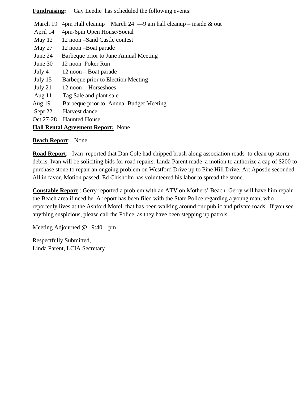**Fundraising:** Gay Leedie has scheduled the following events:

March 19 4pm Hall cleanup March 24 ---9 am hall cleanup – inside  $\&$  out

- April 14 4pm-6pm Open House/Social
- May 12 12 noon –Sand Castle contest
- May 27 12 noon –Boat parade
- June 24 Barbeque prior to June Annual Meeting
- June 30 12 noon Poker Run
- July 4 12 noon Boat parade
- July 15 Barbeque prior to Election Meeting
- July 21 12 noon Horseshoes
- Aug 11 Tag Sale and plant sale
- Aug 19 Barbeque prior to Annual Budget Meeting
- Sept 22 Harvest dance
- Oct 27-28 Haunted House

## **Hall Rental Agreement Report:** None

### **Beach Report**: None

**Road Report**: Ivan reported that Dan Cole had chipped brush along association roads to clean up storm debris. Ivan will be soliciting bids for road repairs. Linda Parent made a motion to authorize a cap of \$200 to purchase stone to repair an ongoing problem on Westford Drive up to Pine Hill Drive. Art Apostle seconded. All in favor. Motion passed. Ed Chisholm has volunteered his labor to spread the stone.

**Constable Report** : Gerry reported a problem with an ATV on Mothers' Beach. Gerry will have him repair the Beach area if need be. A report has been filed with the State Police regarding a young man, who reportedly lives at the Ashford Motel, that has been walking around our public and private roads. If you see anything suspicious, please call the Police, as they have been stepping up patrols.

Meeting Adjourned @ 9:40 pm

Respectfully Submitted, Linda Parent, LCIA Secretary